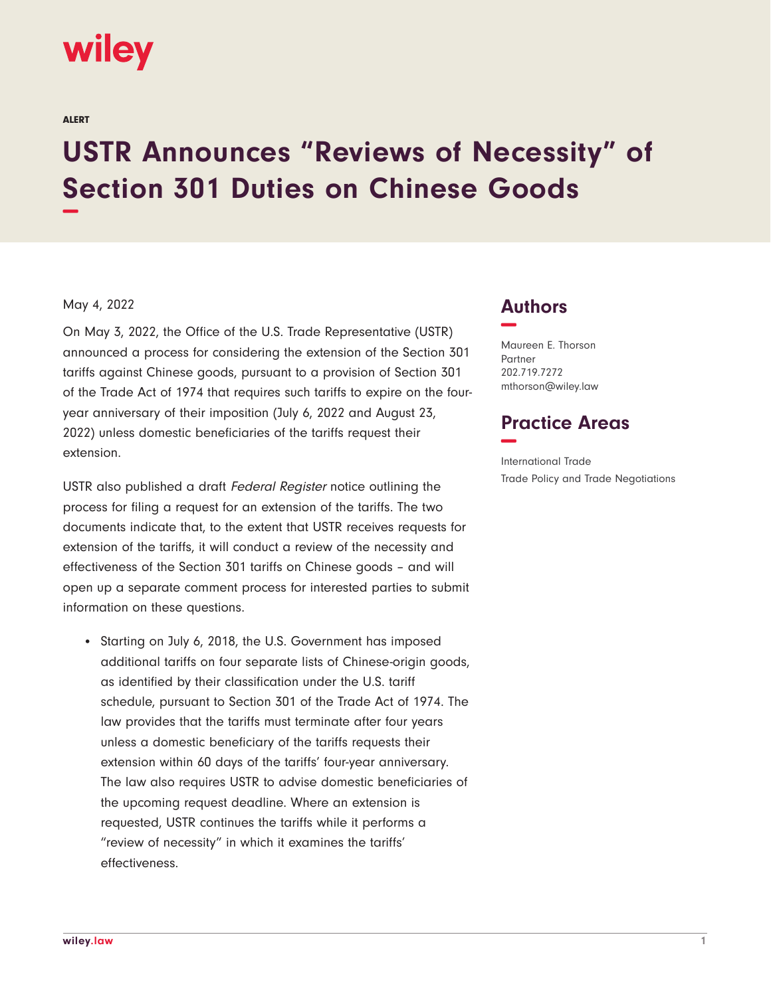

ALERT

## **USTR Announces "Reviews of Necessity" of Section 301 Duties on Chinese Goods −**

## May 4, 2022

On May 3, 2022, the Office of the U.S. Trade Representative (USTR) announced a process for considering the extension of the Section 301 tariffs against Chinese goods, pursuant to a provision of Section 301 of the Trade Act of 1974 that requires such tariffs to expire on the fouryear anniversary of their imposition (July 6, 2022 and August 23, 2022) unless domestic beneficiaries of the tariffs request their extension.

USTR also published a draft Federal Register notice outlining the process for filing a request for an extension of the tariffs. The two documents indicate that, to the extent that USTR receives requests for extension of the tariffs, it will conduct a review of the necessity and effectiveness of the Section 301 tariffs on Chinese goods – and will open up a separate comment process for interested parties to submit information on these questions.

• Starting on July 6, 2018, the U.S. Government has imposed additional tariffs on four separate lists of Chinese-origin goods, as identified by their classification under the U.S. tariff schedule, pursuant to Section 301 of the Trade Act of 1974. The law provides that the tariffs must terminate after four years unless a domestic beneficiary of the tariffs requests their extension within 60 days of the tariffs' four-year anniversary. The law also requires USTR to advise domestic beneficiaries of the upcoming request deadline. Where an extension is requested, USTR continues the tariffs while it performs a "review of necessity" in which it examines the tariffs' effectiveness.

## **Authors −**

Maureen E. Thorson Partner 202.719.7272 mthorson@wiley.law

## **Practice Areas −**

International Trade Trade Policy and Trade Negotiations